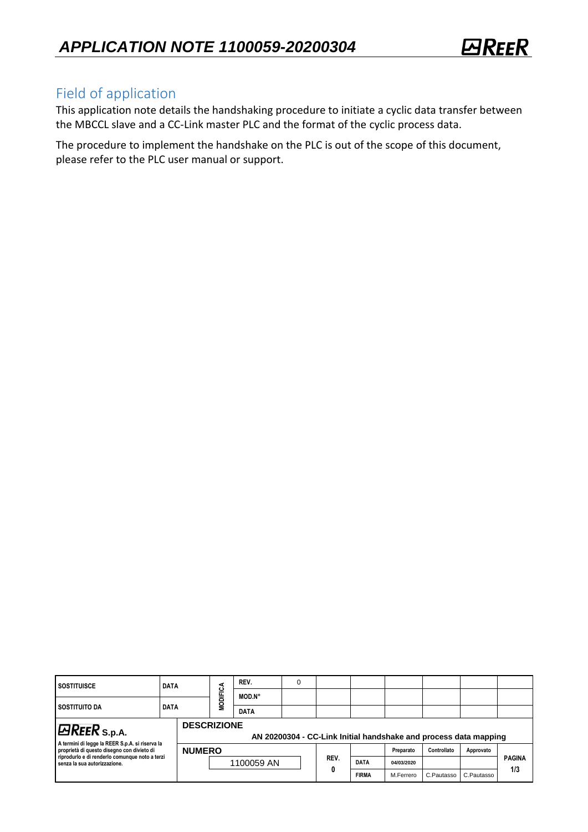## Field of application

This application note details the handshaking procedure to initiate a cyclic data transfer between the MBCCL slave and a CC-Link master PLC and the format of the cyclic process data.

The procedure to implement the handshake on the PLC is out of the scope of this document, please refer to the PLC user manual or support.

| <b>SOSTITUISCE</b><br>I SOSTITUITO DA<br><b>DATA</b>                                                                                                                                               |  | <b>DATA</b>                                                                            |                | REV.        |  |           |              |            |             |            |                      |
|----------------------------------------------------------------------------------------------------------------------------------------------------------------------------------------------------|--|----------------------------------------------------------------------------------------|----------------|-------------|--|-----------|--------------|------------|-------------|------------|----------------------|
|                                                                                                                                                                                                    |  |                                                                                        |                | MOD.N°      |  |           |              |            |             |            |                      |
|                                                                                                                                                                                                    |  |                                                                                        | <b>MODIFIC</b> | <b>DATA</b> |  |           |              |            |             |            |                      |
| $B$ REER s.p.a.<br>A termini di legge la REER S.p.A. si riserva la<br>proprietà di questo disegno con divieto di<br>riprodurlo e di renderlo comunque noto a terzi<br>senza la sua autorizzazione. |  | <b>DESCRIZIONE</b><br>AN 20200304 - CC-Link Initial handshake and process data mapping |                |             |  |           |              |            |             |            |                      |
|                                                                                                                                                                                                    |  | <b>NUMERO</b>                                                                          |                |             |  |           |              | Preparato  | Controllato | Approvato  |                      |
|                                                                                                                                                                                                    |  |                                                                                        |                | 1100059 AN  |  | REV.<br>0 | <b>DATA</b>  | 04/03/2020 |             |            | <b>PAGINA</b><br>1/3 |
|                                                                                                                                                                                                    |  |                                                                                        |                |             |  |           | <b>FIRMA</b> | M.Ferrero  | C.Pautasso  | C.Pautasso |                      |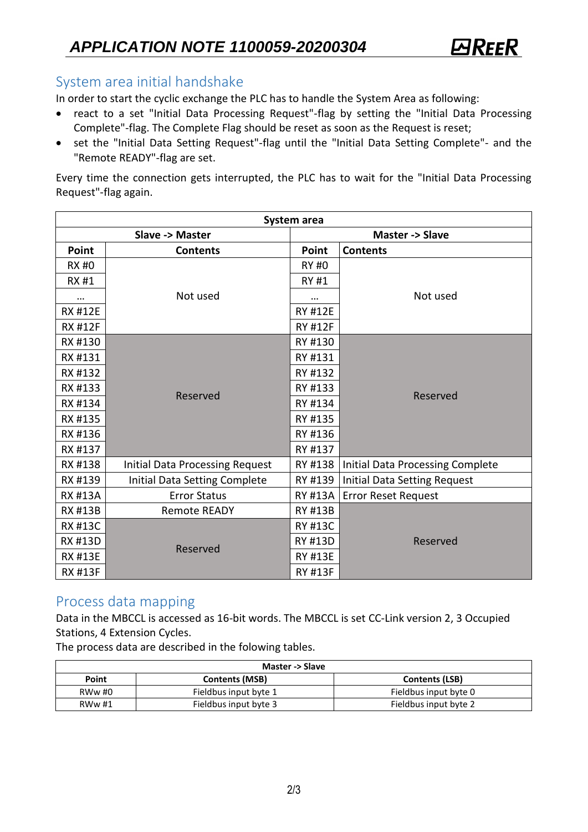## System area initial handshake

In order to start the cyclic exchange the PLC has to handle the System Area as following:

- react to a set "Initial Data Processing Request"-flag by setting the "Initial Data Processing Complete"-flag. The Complete Flag should be reset as soon as the Request is reset;
- set the "Initial Data Setting Request"-flag until the "Initial Data Setting Complete"- and the "Remote READY"-flag are set.

Every time the connection gets interrupted, the PLC has to wait for the "Initial Data Processing Request"-flag again.

| System area     |                                        |                |                                  |  |  |
|-----------------|----------------------------------------|----------------|----------------------------------|--|--|
| Slave -> Master |                                        |                | <b>Master -&gt; Slave</b>        |  |  |
| Point           | <b>Contents</b>                        | Point          | <b>Contents</b>                  |  |  |
| <b>RX#0</b>     |                                        | <b>RY #0</b>   |                                  |  |  |
| <b>RX#1</b>     |                                        | <b>RY #1</b>   |                                  |  |  |
|                 | Not used                               |                | Not used                         |  |  |
| <b>RX #12E</b>  |                                        | <b>RY #12E</b> |                                  |  |  |
| <b>RX #12F</b>  |                                        | <b>RY #12F</b> |                                  |  |  |
| RX #130         |                                        | RY #130        |                                  |  |  |
| RX #131         |                                        | RY #131        |                                  |  |  |
| RX #132         |                                        | RY #132        |                                  |  |  |
| RX #133         | Reserved                               | RY #133        | Reserved                         |  |  |
| RX #134         |                                        | RY #134        |                                  |  |  |
| RX #135         |                                        | RY #135        |                                  |  |  |
| RX #136         |                                        | RY #136        |                                  |  |  |
| RX #137         |                                        | RY #137        |                                  |  |  |
| RX #138         | <b>Initial Data Processing Request</b> | RY #138        | Initial Data Processing Complete |  |  |
| RX #139         | Initial Data Setting Complete          | RY #139        | Initial Data Setting Request     |  |  |
| <b>RX #13A</b>  | <b>Error Status</b>                    | <b>RY #13A</b> | <b>Error Reset Request</b>       |  |  |
| <b>RX#13B</b>   | <b>Remote READY</b>                    | <b>RY #13B</b> | Reserved                         |  |  |
| <b>RX #13C</b>  |                                        | <b>RY #13C</b> |                                  |  |  |
| <b>RX#13D</b>   | Reserved                               | <b>RY #13D</b> |                                  |  |  |
| <b>RX #13E</b>  |                                        | <b>RY #13E</b> |                                  |  |  |
| <b>RX #13F</b>  |                                        | <b>RY #13F</b> |                                  |  |  |

## Process data mapping

Data in the MBCCL is accessed as 16-bit words. The MBCCL is set CC-Link version 2, 3 Occupied Stations, 4 Extension Cycles.

The process data are described in the folowing tables.

| <b>Master -&gt; Slave</b> |                       |                       |  |  |
|---------------------------|-----------------------|-----------------------|--|--|
| Point                     | <b>Contents (MSB)</b> | <b>Contents (LSB)</b> |  |  |
| <b>RWw #0</b>             | Fieldbus input byte 1 | Fieldbus input byte 0 |  |  |
| <b>RWw</b> #1             | Fieldbus input byte 3 | Fieldbus input byte 2 |  |  |